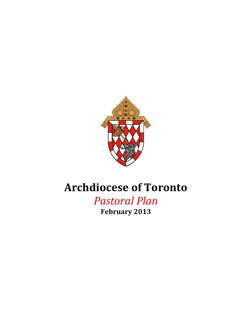

# **Archdiocese of Toronto**

*Pastoral Plan* **February 2013**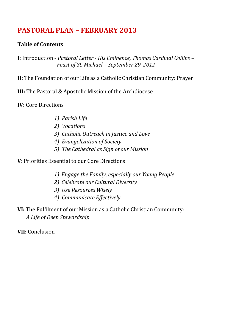# **PASTORAL PLAN – FEBRUARY 2013**

## **Table of Contents**

**I:** Introduction - *Pastoral Letter - His Eminence, Thomas Cardinal Collins – Feast of St. Michael – September 29, 2012*

**II:** The Foundation of our Life as a Catholic Christian Community: Prayer

**III:** The Pastoral & Apostolic Mission of the Archdiocese

**IV:** Core Directions

- *1) Parish Life*
- *2) Vocations*
- *3) Catholic Outreach in Justice and Love*
- *4) Evangelization of Society*
- *5) The Cathedral as Sign of our Mission*

**V:** Priorities Essential to our Core Directions

- *1) Engage the Family, especially our Young People*
- *2) Celebrate our Cultural Diversity*
- *3) Use Resources Wisely*
- *4) Communicate Effectively*
- **VI:** The Fulfilment of our Mission as a Catholic Christian Community: *A Life of Deep Stewardship*

**VII:** Conclusion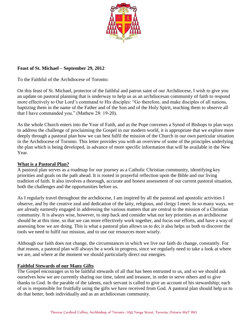

#### **Feast of St. Michael – September 29, 2012**

To the Faithful of the Archdiocese of Toronto:

On this feast of St. Michael, protector of the faithful and patron saint of our Archdiocese, I wish to give you an update on pastoral planning that is underway to help us as an archdiocesan community of faith to respond more effectively to Our Lord's command to His disciples: "Go therefore, and make disciples of all nations, baptizing them in the name of the Father and of the Son and of the Holy Spirit, teaching them to observe all that I have commanded you." (Mathew 28: 19-20).

As the whole Church enters into the Year of Faith, and as the Pope convenes a Synod of Bishops to plan ways to address the challenge of proclaiming the Gospel in our modern world, it is appropriate that we explore more deeply through a pastoral plan how we can best fulfil the mission of the Church in our own particular situation in the Archdiocese of Toronto. This letter provides you with an overview of some of the principles underlying the plan which is being developed, in advance of more specific information that will be available in the New Year.

#### **What is a Pastoral Plan?**

A pastoral plan serves as a roadmap for our journey as a Catholic Christian community, identifying key priorities and goals on the path ahead. It is rooted in prayerful reflection upon the Bible and our living tradition of faith. It also involves a thorough, accurate and honest assessment of our current pastoral situation, both the challenges and the opportunities before us.

As I regularly travel throughout the archdiocese, I am inspired by all the pastoral and apostolic activities I observe, and by the creative zeal and dedication of the laity, religious, and clergy I meet. In so many ways, we are already earnestly engaged in addressing the various matters that are central to the mission of a Christian community. It is always wise, however, to step back and consider what our key priorities as an archdiocese should be at this time, so that we can more effectively work together, and focus our efforts, and have a way of assessing how we are doing. This is what a pastoral plan allows us to do; it also helps us both to discover the tools we need to fulfil our mission, and to use our resources more wisely.

Although our faith does not change, the circumstances in which we live our faith do change, constantly. For that reason, a pastoral plan will always be a work in progress, since we regularly need to take a look at where we are, and where at the moment we should particularly direct our energies.

#### **Faithful Stewards of our Many Gifts**

The Gospel encourages us to be faithful stewards of all that has been entrusted to us, and so we should ask ourselves how we are currently sharing our time, talent and treasure, in order to serve others and to give thanks to God. In the parable of the talents, each servant is called to give an account of his stewardship; each of us is responsible for fruitfully using the gifts we have received from God. A pastoral plan should help us to do that better, both individually and as an archdiocesan community.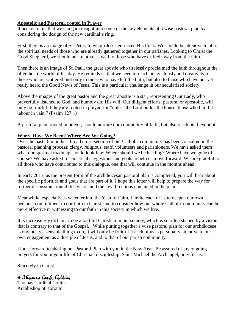#### **Apostolic and Pastoral, rooted in Prayer**

It occurs to me that we can gain insight into some of the key elements of a wise pastoral plan by considering the design of the new cardinal's ring.

First, there is an image of St. Peter, to whom Jesus entrusted His flock. We should be attentive to all of the spiritual needs of those who are already gathered together in our parishes. Looking to Christ the Good Shepherd, we should be attentive as well to those who have drifted away from the faith.

Then there is an image of St. Paul, the great apostle who tirelessly proclaimed the faith throughout the often hostile world of his day. He reminds us that we need to reach out zealously and creatively to those who are scattered: not only to those who have left the faith, but also to those who have not yet really heard the Good News of Jesus. This is a particular challenge in our secularized society.

Above the images of the great pastor and the great apostle is a star, representing Our Lady, who prayerfully listened to God, and humbly did His will. Our diligent efforts, pastoral or apostolic, will only be fruitful if they are rooted in prayer, for "unless the Lord builds the house, those who build it labour in vain." (Psalm 127:1)

A pastoral plan, rooted in prayer, should nurture our community of faith, but also reach out beyond it.

#### **Where Have We Been? Where Are We Going?**

Over the past 18 months a broad cross-section of our Catholic community has been consulted in the pastoral planning process: clergy, religious, staff, volunteers and parishioners. We have asked them what our spiritual roadmap should look like: Where should we be heading? Where have we gone off course? We have asked for practical suggestions and goals to help us move forward. We are grateful to all those who have contributed to this dialogue, one that will continue in the months ahead.

In early 2013, as the present form of the archdiocesan pastoral plan is completed, you will hear about the specific priorities and goals that are part of it. I hope this letter will help to prepare the way for further discussion around this vision and the key directions contained in the plan.

Meanwhile, especially as we enter into the Year of Faith, I invite each of us to deepen our own personal commitment to our faith in Christ, and to consider how our whole Catholic community can be more effective in witnessing to our faith in this society in which we live.

It is increasingly difficult to be a faithful Christian in our society, which is so often shaped by a vision that is contrary to that of the Gospel. While putting together a wise pastoral plan for our archdiocese is obviously a sensible thing to do, it will only be fruitful if each of us is personally attentive to our own engagement as a disciple of Jesus, and to that of our parish community.

I look forward to sharing our Pastoral Plan with you in the New Year. Be assured of my ongoing prayers for you in your life of Christian discipleship. Saint Michael the Archangel, pray for us.

Sincerely in Christ,

+ Thomas Card Collins Thomas Cardinal Collins Archbishop of Toronto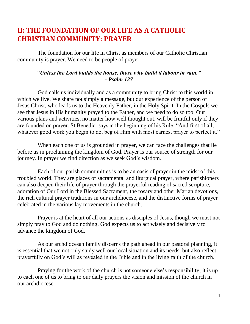# **II: THE FOUNDATION OF OUR LIFE AS A CATHOLIC CHRISTIAN COMMUNITY: PRAYER**

The foundation for our life in Christ as members of our Catholic Christian community is prayer. We need to be people of prayer.

#### *"Unless the Lord builds the house, those who build it labour in vain." - Psalm 127*

God calls us individually and as a community to bring Christ to this world in which we live. We share not simply a message, but our experience of the person of Jesus Christ, who leads us to the Heavenly Father, in the Holy Spirit. In the Gospels we see that Jesus in His humanity prayed to the Father, and we need to do so too. Our various plans and activities, no matter how well thought out, will be fruitful only if they are founded on prayer. St Benedict says at the beginning of his Rule: "And first of all, whatever good work you begin to do, beg of Him with most earnest prayer to perfect it."

When each one of us is grounded in prayer, we can face the challenges that lie before us in proclaiming the kingdom of God. Prayer is our source of strength for our journey. In prayer we find direction as we seek God's wisdom.

Each of our parish communities is to be an oasis of prayer in the midst of this troubled world. They are places of sacramental and liturgical prayer, where parishioners can also deepen their life of prayer through the prayerful reading of sacred scripture, adoration of Our Lord in the Blessed Sacrament, the rosary and other Marian devotions, the rich cultural prayer traditions in our archdiocese, and the distinctive forms of prayer celebrated in the various lay movements in the church.

Prayer is at the heart of all our actions as disciples of Jesus, though we must not simply pray to God and do nothing. God expects us to act wisely and decisively to advance the kingdom of God.

As our archdiocesan family discerns the path ahead in our pastoral planning, it is essential that we not only study well our local situation and its needs, but also reflect prayerfully on God's will as revealed in the Bible and in the living faith of the church.

Praying for the work of the church is not someone else's responsibility; it is up to each one of us to bring to our daily prayers the vision and mission of the church in our archdiocese.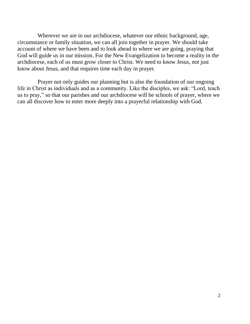Wherever we are in our archdiocese, whatever our ethnic background, age, circumstance or family situation, we can all join together in prayer. We should take account of where we have been and to look ahead to where we are going, praying that God will guide us in our mission. For the New Evangelization to become a reality in the archdiocese, each of us must grow closer to Christ. We need to know Jesus, not just know about Jesus, and that requires time each day in prayer.

Prayer not only guides our planning but is also the foundation of our ongoing life in Christ as individuals and as a community. Like the disciples, we ask: "Lord, teach us to pray," so that our parishes and our archdiocese will be schools of prayer, where we can all discover how to enter more deeply into a prayerful relationship with God.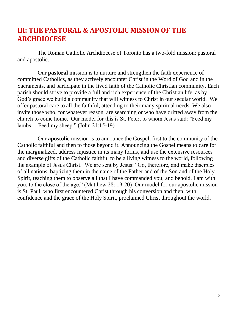# **III: THE PASTORAL & APOSTOLIC MISSION OF THE ARCHDIOCESE**

The Roman Catholic Archdiocese of Toronto has a two-fold mission: pastoral and apostolic.

Our **pastoral** mission is to nurture and strengthen the faith experience of committed Catholics, as they actively encounter Christ in the Word of God and in the Sacraments, and participate in the lived faith of the Catholic Christian community. Each parish should strive to provide a full and rich experience of the Christian life, as by God's grace we build a community that will witness to Christ in our secular world. We offer pastoral care to all the faithful, attending to their many spiritual needs. We also invite those who, for whatever reason, are searching or who have drifted away from the church to come home. Our model for this is St. Peter, to whom Jesus said: "Feed my lambs… Feed my sheep." (John 21:15-19)

Our **apostolic** mission is to announce the Gospel, first to the community of the Catholic faithful and then to those beyond it. Announcing the Gospel means to care for the marginalized, address injustice in its many forms, and use the extensive resources and diverse gifts of the Catholic faithful to be a living witness to the world, following the example of Jesus Christ. We are sent by Jesus: "Go, therefore, and make disciples of all nations, baptizing them in the name of the Father and of the Son and of the Holy Spirit, teaching them to observe all that I have commanded you; and behold, I am with you, to the close of the age." (Matthew 28: 19-20) Our model for our apostolic mission is St. Paul, who first encountered Christ through his conversion and then, with confidence and the grace of the Holy Spirit, proclaimed Christ throughout the world.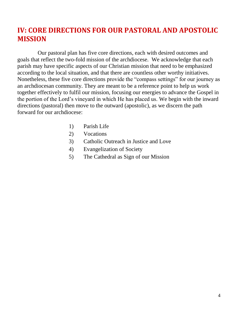# **IV: CORE DIRECTIONS FOR OUR PASTORAL AND APOSTOLIC MISSION**

Our pastoral plan has five core directions, each with desired outcomes and goals that reflect the two-fold mission of the archdiocese. We acknowledge that each parish may have specific aspects of our Christian mission that need to be emphasized according to the local situation, and that there are countless other worthy initiatives. Nonetheless, these five core directions provide the "compass settings" for our journey as an archdiocesan community. They are meant to be a reference point to help us work together effectively to fulfil our mission, focusing our energies to advance the Gospel in the portion of the Lord's vineyard in which He has placed us. We begin with the inward directions (pastoral) then move to the outward (apostolic), as we discern the path forward for our archdiocese:

- 1) Parish Life
- 2) Vocations
- 3) Catholic Outreach in Justice and Love
- 4) Evangelization of Society
- 5) The Cathedral as Sign of our Mission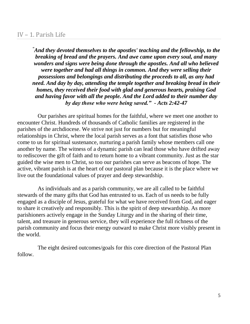#### IV – 1. Parish Life

*"And they devoted themselves to the apostles' teaching and the fellowship, to the breaking of bread and the prayers. And awe came upon every soul, and many wonders and signs were being done through the apostles. And all who believed were together and had all things in common. And they were selling their possessions and belongings and distributing the proceeds to all, as any had need. And day by day, attending the temple together and breaking bread in their homes, they received their food with glad and generous hearts, praising God and having favor with all the people. And the Lord added to their number day by day those who were being saved."* **-** *Acts 2:42-47*

Our parishes are spiritual homes for the faithful, where we meet one another to encounter Christ. Hundreds of thousands of Catholic families are registered in the parishes of the archdiocese. We strive not just for numbers but for meaningful relationships in Christ, where the local parish serves as a font that satisfies those who come to us for spiritual sustenance, nurturing a parish family whose members call one another by name. The witness of a dynamic parish can lead those who have drifted away to rediscover the gift of faith and to return home to a vibrant community. Just as the star guided the wise men to Christ, so too our parishes can serve as beacons of hope. The active, vibrant parish is at the heart of our pastoral plan because it is the place where we live out the foundational values of prayer and deep stewardship.

As individuals and as a parish community, we are all called to be faithful stewards of the many gifts that God has entrusted to us. Each of us needs to be fully engaged as a disciple of Jesus, grateful for what we have received from God, and eager to share it creatively and responsibly. This is the spirit of deep stewardship. As more parishioners actively engage in the Sunday Liturgy and in the sharing of their time, talent, and treasure in generous service, they will experience the full richness of the parish community and focus their energy outward to make Christ more visibly present in the world.

The eight desired outcomes/goals for this core direction of the Pastoral Plan follow.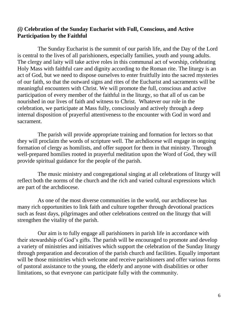#### *(i)* **Celebration of the Sunday Eucharist with Full, Conscious, and Active Participation by the Faithful**

The Sunday Eucharist is the summit of our parish life, and the Day of the Lord is central to the lives of all parishioners, especially families, youth and young adults. The clergy and laity will take active roles in this communal act of worship, celebrating Holy Mass with faithful care and dignity according to the Roman rite. The liturgy is an act of God, but we need to dispose ourselves to enter fruitfully into the sacred mysteries of our faith, so that the outward signs and rites of the Eucharist and sacraments will be meaningful encounters with Christ. We will promote the full, conscious and active participation of every member of the faithful in the liturgy, so that all of us can be nourished in our lives of faith and witness to Christ. Whatever our role in the celebration, we participate at Mass fully, consciously and actively through a deep internal disposition of prayerful attentiveness to the encounter with God in word and sacrament.

The parish will provide appropriate training and formation for lectors so that they will proclaim the words of scripture well. The archdiocese will engage in ongoing formation of clergy as homilists, and offer support for them in that ministry. Through well-prepared homilies rooted in prayerful meditation upon the Word of God, they will provide spiritual guidance for the people of the parish.

The music ministry and congregational singing at all celebrations of liturgy will reflect both the norms of the church and the rich and varied cultural expressions which are part of the archdiocese.

As one of the most diverse communities in the world, our archdiocese has many rich opportunities to link faith and culture together through devotional practices such as feast days, pilgrimages and other celebrations centred on the liturgy that will strengthen the vitality of the parish.

Our aim is to fully engage all parishioners in parish life in accordance with their stewardship of God's gifts. The parish will be encouraged to promote and develop a variety of ministries and initiatives which support the celebration of the Sunday liturgy through preparation and decoration of the parish church and facilities. Equally important will be those ministries which welcome and receive parishioners and offer various forms of pastoral assistance to the young, the elderly and anyone with disabilities or other limitations, so that everyone can participate fully with the community.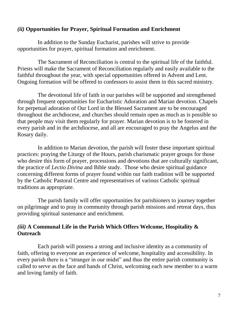#### *(ii)* **Opportunities for Prayer, Spiritual Formation and Enrichment**

In addition to the Sunday Eucharist, parishes will strive to provide opportunities for prayer, spiritual formation and enrichment.

The Sacrament of Reconciliation is central to the spiritual life of the faithful. Priests will make the Sacrament of Reconciliation regularly and easily available to the faithful throughout the year, with special opportunities offered in Advent and Lent. Ongoing formation will be offered to confessors to assist them in this sacred ministry.

The devotional life of faith in our parishes will be supported and strengthened through frequent opportunities for Eucharistic Adoration and Marian devotion. Chapels for perpetual adoration of Our Lord in the Blessed Sacrament are to be encouraged throughout the archdiocese, and churches should remain open as much as is possible so that people may visit them regularly for prayer. Marian devotion is to be fostered in every parish and in the archdiocese, and all are encouraged to pray the Angelus and the Rosary daily.

In addition to Marian devotion, the parish will foster these important spiritual practices: praying the Liturgy of the Hours, parish charismatic prayer groups for those who desire this form of prayer, processions and devotions that are culturally significant, the practice of *Lectio Divina* and Bible study. Those who desire spiritual guidance concerning different forms of prayer found within our faith tradition will be supported by the Catholic Pastoral Centre and representatives of various Catholic spiritual traditions as appropriate.

The parish family will offer opportunities for parishioners to journey together on pilgrimage and to pray in community through parish missions and retreat days, thus providing spiritual sustenance and enrichment.

## *(iii)* **A Communal Life in the Parish Which Offers Welcome, Hospitality & Outreach**

Each parish will possess a strong and inclusive identity as a community of faith, offering to everyone an experience of welcome, hospitality and accessibility. In every parish there is a "stranger in our midst" and thus the entire parish community is called to serve as the face and hands of Christ, welcoming each new member to a warm and loving family of faith.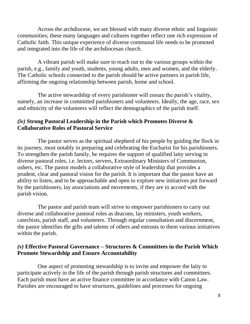Across the archdiocese, we are blessed with many diverse ethnic and linguistic communities; these many languages and cultures together reflect one rich expression of Catholic faith. This unique experience of diverse communal life needs to be promoted and integrated into the life of the archdiocesan church.

A vibrant parish will make sure to reach out to the various groups within the parish, e.g., family and youth, students, young adults, men and women, and the elderly. The Catholic schools connected to the parish should be active partners in parish life, affirming the ongoing relationship between parish, home and school.

The active stewardship of every parishioner will ensure the parish's vitality, namely, an increase in committed parishioners and volunteers. Ideally, the age, race, sex and ethnicity of the volunteers will reflect the demographics of the parish itself.

#### *(iv)* **Strong Pastoral Leadership in the Parish which Promotes Diverse & Collaborative Roles of Pastoral Service**

The pastor serves as the spiritual shepherd of his people by guiding the flock in its journey, most notably in preparing and celebrating the Eucharist for his parishioners. To strengthen the parish family, he requires the support of qualified laity serving in diverse pastoral roles, i.e. lectors, servers, Extraordinary Ministers of Communion, ushers, etc. The pastor models a collaborative style of leadership that provides a prudent, clear and pastoral vision for the parish. It is important that the pastor have an ability to listen, and to be approachable and open to explore new initiatives put forward by the parishioners, lay associations and movements, if they are in accord with the parish vision.

The pastor and parish team will strive to empower parishioners to carry out diverse and collaborative pastoral roles as deacons, lay ministers, youth workers, catechists, parish staff, and volunteers. Through regular consultation and discernment, the pastor identifies the gifts and talents of others and entrusts to them various initiatives within the parish.

#### *(v)* **Effective Pastoral Governance – Structures & Committees in the Parish Which Promote Stewardship and Ensure Accountability**

One aspect of promoting stewardship is to invite and empower the laity to participate actively in the life of the parish through parish structures and committees. Each parish must have an active finance committee in accordance with Canon Law. Parishes are encouraged to have structures, guidelines and processes for ongoing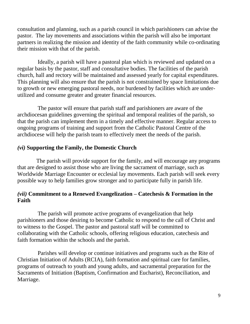consultation and planning, such as a parish council in which parishioners can advise the pastor. The lay movements and associations within the parish will also be important partners in realizing the mission and identity of the faith community while co-ordinating their mission with that of the parish.

Ideally, a parish will have a pastoral plan which is reviewed and updated on a regular basis by the pastor, staff and consultative bodies. The facilities of the parish church, hall and rectory will be maintained and assessed yearly for capital expenditures. This planning will also ensure that the parish is not constrained by space limitations due to growth or new emerging pastoral needs, nor burdened by facilities which are underutilized and consume greater and greater financial resources.

The pastor will ensure that parish staff and parishioners are aware of the archdiocesan guidelines governing the spiritual and temporal realities of the parish, so that the parish can implement them in a timely and effective manner. Regular access to ongoing programs of training and support from the Catholic Pastoral Centre of the archdiocese will help the parish team to effectively meet the needs of the parish.

#### *(vi)* **Supporting the Family, the Domestic Church**

The parish will provide support for the family, and will encourage any programs that are designed to assist those who are living the sacrament of marriage, such as Worldwide Marriage Encounter or ecclesial lay movements. Each parish will seek every possible way to help families grow stronger and to participate fully in parish life.

#### *(vii)* **Commitment to a Renewed Evangelization – Catechesis & Formation in the Faith**

The parish will promote active programs of evangelization that help parishioners and those desiring to become Catholic to respond to the call of Christ and to witness to the Gospel. The pastor and pastoral staff will be committed to collaborating with the Catholic schools, offering religious education, catechesis and faith formation within the schools and the parish.

Parishes will develop or continue initiatives and programs such as the Rite of Christian Initiation of Adults (RCIA), faith formation and spiritual care for families, programs of outreach to youth and young adults, and sacramental preparation for the Sacraments of Initiation (Baptism, Confirmation and Eucharist), Reconciliation, and Marriage.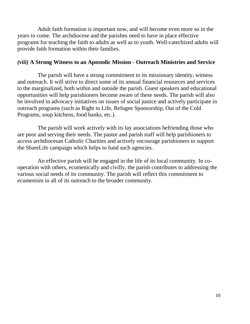Adult faith formation is important now, and will become even more so in the years to come. The archdiocese and the parishes need to have in place effective programs for teaching the faith to adults as well as to youth. Well-catechized adults will provide faith formation within their families.

#### *(viii)* **A Strong Witness to an Apostolic Mission - Outreach Ministries and Service**

The parish will have a strong commitment to its missionary identity, witness and outreach. It will strive to direct some of its annual financial resources and services to the marginalized, both within and outside the parish. Guest speakers and educational opportunities will help parishioners become aware of these needs. The parish will also be involved in advocacy initiatives on issues of social justice and actively participate in outreach programs (such as Right to Life, Refugee Sponsorship, Out of the Cold Programs, soup kitchens, food banks, etc.).

The parish will work actively with its lay associations befriending those who are poor and serving their needs. The pastor and parish staff will help parishioners to access archdiocesan Catholic Charities and actively encourage parishioners to support the ShareLife campaign which helps to fund such agencies.

An effective parish will be engaged in the life of its local community. In cooperation with others, ecumenically and civilly, the parish contributes to addressing the various social needs of its community. The parish will reflect this commitment to ecumenism in all of its outreach to the broader community.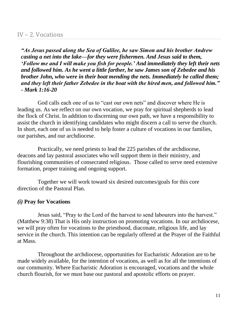#### IV – 2. Vocations

*"As Jesus passed along the Sea of Galilee, he saw Simon and his brother Andrew casting a net into the lake—for they were fishermen. And Jesus said to them, 'Follow me and I will make you fish for people.' And immediately they left their nets and followed him. As he went a little farther, he saw James son of Zebedee and his brother John, who were in their boat mending the nets. Immediately he called them; and they left their father Zebedee in the boat with the hired men, and followed him." - Mark 1:16-20*

God calls each one of us to "cast our own nets" and discover where He is leading us. As we reflect on our own vocation, we pray for spiritual shepherds to lead the flock of Christ. In addition to discerning our own path, we have a responsibility to assist the church in identifying candidates who might discern a call to serve the church. In short, each one of us is needed to help foster a culture of vocations in our families, our parishes, and our archdiocese.

Practically, we need priests to lead the 225 parishes of the archdiocese, deacons and lay pastoral associates who will support them in their ministry, and flourishing communities of consecrated religious. Those called to serve need extensive formation, proper training and ongoing support.

Together we will work toward six desired outcomes/goals for this core direction of the Pastoral Plan.

#### *(i)* **Pray for Vocations**

Jesus said, "Pray to the Lord of the harvest to send labourers into the harvest." (Matthew 9:38) That is His only instruction on promoting vocations. In our archdiocese, we will pray often for vocations to the priesthood, diaconate, religious life, and lay service in the church. This intention can be regularly offered at the Prayer of the Faithful at Mass.

Throughout the archdiocese, opportunities for Eucharistic Adoration are to be made widely available, for the intention of vocations, as well as for all the intentions of our community. Where Eucharistic Adoration is encouraged, vocations and the whole church flourish, for we must base our pastoral and apostolic efforts on prayer.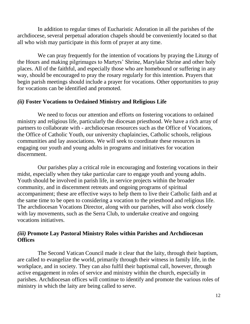In addition to regular times of Eucharistic Adoration in all the parishes of the archdiocese, several perpetual adoration chapels should be conveniently located so that all who wish may participate in this form of prayer at any time.

We can pray frequently for the intention of vocations by praying the Liturgy of the Hours and making pilgrimages to Martyrs' Shrine, Marylake Shrine and other holy places. All of the faithful, and especially those who are homebound or suffering in any way, should be encouraged to pray the rosary regularly for this intention. Prayers that begin parish meetings should include a prayer for vocations. Other opportunities to pray for vocations can be identified and promoted.

#### *(ii)* **Foster Vocations to Ordained Ministry and Religious Life**

We need to focus our attention and efforts on fostering vocations to ordained ministry and religious life, particularly the diocesan priesthood. We have a rich array of partners to collaborate with - archdiocesan resources such as the Office of Vocations, the Office of Catholic Youth, our university chaplaincies, Catholic schools, religious communities and lay associations. We will seek to coordinate these resources in engaging our youth and young adults in programs and initiatives for vocation discernment.

Our parishes play a critical role in encouraging and fostering vocations in their midst, especially when they take particular care to engage youth and young adults. Youth should be involved in parish life, in service projects within the broader community, and in discernment retreats and ongoing programs of spiritual accompaniment; these are effective ways to help them to live their Catholic faith and at the same time to be open to considering a vocation to the priesthood and religious life. The archdiocesan Vocations Director, along with our parishes, will also work closely with lay movements, such as the Serra Club, to undertake creative and ongoing vocations initiatives.

#### *(iii)* **Promote Lay Pastoral Ministry Roles within Parishes and Archdiocesan Offices**

The Second Vatican Council made it clear that the laity, through their baptism, are called to evangelize the world, primarily through their witness in family life, in the workplace, and in society. They can also fulfil their baptismal call, however, through active engagement in roles of service and ministry within the church, especially in parishes. Archdiocesan offices will continue to identify and promote the various roles of ministry in which the laity are being called to serve.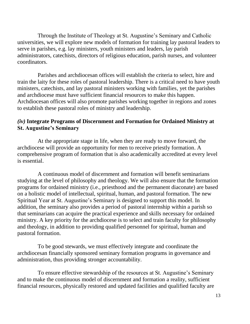Through the Institute of Theology at St. Augustine's Seminary and Catholic universities, we will explore new models of formation for training lay pastoral leaders to serve in parishes, e.g. lay ministers, youth ministers and leaders, lay parish administrators, catechists, directors of religious education, parish nurses, and volunteer coordinators.

Parishes and archdiocesan offices will establish the criteria to select, hire and train the laity for these roles of pastoral leadership. There is a critical need to have youth ministers, catechists, and lay pastoral ministers working with families, yet the parishes and archdiocese must have sufficient financial resources to make this happen. Archdiocesan offices will also promote parishes working together in regions and zones to establish these pastoral roles of ministry and leadership.

#### *(iv)* **Integrate Programs of Discernment and Formation for Ordained Ministry at St. Augustine's Seminary**

At the appropriate stage in life, when they are ready to move forward, the archdiocese will provide an opportunity for men to receive priestly formation. A comprehensive program of formation that is also academically accredited at every level is essential.

A continuous model of discernment and formation will benefit seminarians studying at the level of philosophy and theology. We will also ensure that the formation programs for ordained ministry (i.e., priesthood and the permanent diaconate) are based on a holistic model of intellectual, spiritual, human, and pastoral formation. The new Spiritual Year at St. Augustine's Seminary is designed to support this model. In addition, the seminary also provides a period of pastoral internship within a parish so that seminarians can acquire the practical experience and skills necessary for ordained ministry. A key priority for the archdiocese is to select and train faculty for philosophy and theology, in addition to providing qualified personnel for spiritual, human and pastoral formation.

To be good stewards, we must effectively integrate and coordinate the archdiocesan financially sponsored seminary formation programs in governance and administration, thus providing stronger accountability.

To ensure effective stewardship of the resources at St. Augustine's Seminary and to make the continuous model of discernment and formation a reality, sufficient financial resources, physically restored and updated facilities and qualified faculty are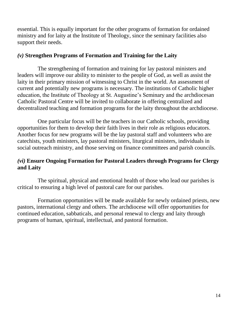essential. This is equally important for the other programs of formation for ordained ministry and for laity at the Institute of Theology, since the seminary facilities also support their needs.

#### *(v)* **Strengthen Programs of Formation and Training for the Laity**

The strengthening of formation and training for lay pastoral ministers and leaders will improve our ability to minister to the people of God, as well as assist the laity in their primary mission of witnessing to Christ in the world. An assessment of current and potentially new programs is necessary. The institutions of Catholic higher education, the Institute of Theology at St. Augustine's Seminary and the archdiocesan Catholic Pastoral Centre will be invited to collaborate in offering centralized and decentralized teaching and formation programs for the laity throughout the archdiocese.

One particular focus will be the teachers in our Catholic schools, providing opportunities for them to develop their faith lives in their role as religious educators. Another focus for new programs will be the lay pastoral staff and volunteers who are catechists, youth ministers, lay pastoral ministers, liturgical ministers, individuals in social outreach ministry, and those serving on finance committees and parish councils.

#### *(vi)* **Ensure Ongoing Formation for Pastoral Leaders through Programs for Clergy and Laity**

The spiritual, physical and emotional health of those who lead our parishes is critical to ensuring a high level of pastoral care for our parishes.

Formation opportunities will be made available for newly ordained priests, new pastors, international clergy and others. The archdiocese will offer opportunities for continued education, sabbaticals, and personal renewal to clergy and laity through programs of human, spiritual, intellectual, and pastoral formation.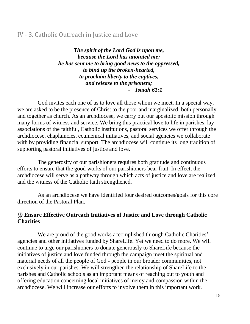*The spirit of the Lord God is upon me, because the Lord has anointed me; he has sent me to bring good news to the oppressed, to bind up the broken-hearted, to proclaim liberty to the captives, and release to the prisoners;* - *Isaiah 61:1*

God invites each one of us to love all those whom we meet. In a special way, we are asked to be the presence of Christ to the poor and marginalized, both personally and together as church. As an archdiocese, we carry out our apostolic mission through many forms of witness and service. We bring this practical love to life in parishes, lay associations of the faithful, Catholic institutions, pastoral services we offer through the archdiocese, chaplaincies, ecumenical initiatives, and social agencies we collaborate with by providing financial support. The archdiocese will continue its long tradition of supporting pastoral initiatives of justice and love.

The generosity of our parishioners requires both gratitude and continuous efforts to ensure that the good works of our parishioners bear fruit. In effect, the archdiocese will serve as a pathway through which acts of justice and love are realized, and the witness of the Catholic faith strengthened.

As an archdiocese we have identified four desired outcomes/goals for this core direction of the Pastoral Plan.

#### *(i)* **Ensure Effective Outreach Initiatives of Justice and Love through Catholic Charities**

We are proud of the good works accomplished through Catholic Charities' agencies and other initiatives funded by ShareLife. Yet we need to do more. We will continue to urge our parishioners to donate generously to ShareLife because the initiatives of justice and love funded through the campaign meet the spiritual and material needs of all the people of God - people in our broader communities, not exclusively in our parishes. We will strengthen the relationship of ShareLife to the parishes and Catholic schools as an important means of reaching out to youth and offering education concerning local initiatives of mercy and compassion within the archdiocese. We will increase our efforts to involve them in this important work.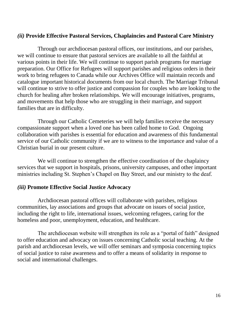#### *(ii)* **Provide Effective Pastoral Services, Chaplaincies and Pastoral Care Ministry**

Through our archdiocesan pastoral offices, our institutions, and our parishes, we will continue to ensure that pastoral services are available to all the faithful at various points in their life. We will continue to support parish programs for marriage preparation. Our Office for Refugees will support parishes and religious orders in their work to bring refugees to Canada while our Archives Office will maintain records and catalogue important historical documents from our local church. The Marriage Tribunal will continue to strive to offer justice and compassion for couples who are looking to the church for healing after broken relationships. We will encourage initiatives, programs, and movements that help those who are struggling in their marriage, and support families that are in difficulty.

Through our Catholic Cemeteries we will help families receive the necessary compassionate support when a loved one has been called home to God. Ongoing collaboration with parishes is essential for education and awareness of this fundamental service of our Catholic community if we are to witness to the importance and value of a Christian burial in our present culture.

We will continue to strengthen the effective coordination of the chaplaincy services that we support in hospitals, prisons, university campuses, and other important ministries including St. Stephen's Chapel on Bay Street, and our ministry to the deaf.

#### *(iii)* **Promote Effective Social Justice Advocacy**

Archdiocesan pastoral offices will collaborate with parishes, religious communities, lay associations and groups that advocate on issues of social justice, including the right to life, international issues, welcoming refugees, caring for the homeless and poor, unemployment, education, and healthcare.

The archdiocesan website will strengthen its role as a "portal of faith" designed to offer education and advocacy on issues concerning Catholic social teaching. At the parish and archdiocesan levels, we will offer seminars and symposia concerning topics of social justice to raise awareness and to offer a means of solidarity in response to social and international challenges.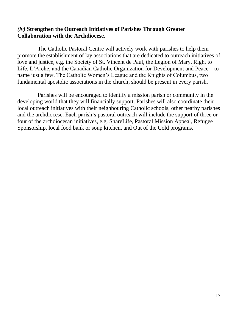#### *(iv)* **Strengthen the Outreach Initiatives of Parishes Through Greater Collaboration with the Archdiocese.**

The Catholic Pastoral Centre will actively work with parishes to help them promote the establishment of lay associations that are dedicated to outreach initiatives of love and justice, e.g. the Society of St. Vincent de Paul, the Legion of Mary, Right to Life, L'Arche, and the Canadian Catholic Organization for Development and Peace – to name just a few. The Catholic Women's League and the Knights of Columbus, two fundamental apostolic associations in the church, should be present in every parish.

Parishes will be encouraged to identify a mission parish or community in the developing world that they will financially support. Parishes will also coordinate their local outreach initiatives with their neighbouring Catholic schools, other nearby parishes and the archdiocese. Each parish's pastoral outreach will include the support of three or four of the archdiocesan initiatives, e.g. ShareLife, Pastoral Mission Appeal, Refugee Sponsorship, local food bank or soup kitchen, and Out of the Cold programs.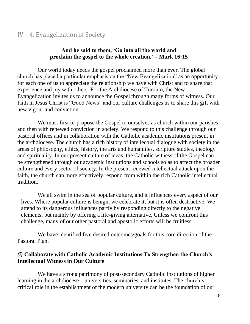## **And he said to them, 'Go into all the world and proclaim the gospel to the whole creation.' – Mark 16:15**

Our world today needs the gospel proclaimed more than ever. The global church has placed a particular emphasis on the "New Evangelization" as an opportunity for each one of us to appreciate the relationship we have with Christ and to share that experience and joy with others. For the Archdiocese of Toronto, the New Evangelization invites us to announce the Gospel through many forms of witness. Our faith in Jesus Christ is "Good News" and our culture challenges us to share this gift with new vigour and conviction.

We must first re-propose the Gospel to ourselves as church within our parishes, and then with renewed conviction in society. We respond to this challenge through our pastoral offices and in collaboration with the Catholic academic institutions present in the archdiocese. The church has a rich history of intellectual dialogue with society in the areas of philosophy, ethics, history, the arts and humanities, scripture studies, theology and spirituality. In our present culture of ideas, the Catholic witness of the Gospel can be strengthened through our academic institutions and schools so as to affect the broader culture and every sector of society. In the present renewed intellectual attack upon the faith, the church can more effectively respond from within the rich Catholic intellectual tradition.

We all swim in the sea of popular culture, and it influences every aspect of our lives. Where popular culture is benign, we celebrate it, but it is often destructive. We attend to its dangerous influences partly by responding directly to the negative elements, but mainly by offering a life-giving alternative. Unless we confront this challenge, many of our other pastoral and apostolic efforts will be fruitless.

We have identified five desired outcomes/goals for this core direction of the Pastoral Plan.

## *(i)* **Collaborate with Catholic Academic Institutions To Strengthen the Church's Intellectual Witness in Our Culture**

We have a strong patrimony of post-secondary Catholic institutions of higher learning in the archdiocese – universities, seminaries, and institutes. The church's critical role in the establishment of the modern university can be the foundation of our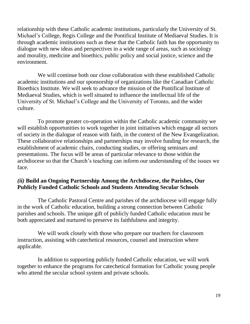relationship with these Catholic academic institutions, particularly the University of St. Michael's College, Regis College and the Pontifical Institute of Mediaeval Studies. It is through academic institutions such as these that the Catholic faith has the opportunity to dialogue with new ideas and perspectives in a wide range of areas, such as sociology and morality, medicine and bioethics, public policy and social justice, science and the environment.

We will continue both our close collaboration with these established Catholic academic institutions and our sponsorship of organizations like the Canadian Catholic Bioethics Institute. We will seek to advance the mission of the Pontifical Institute of Mediaeval Studies, which is well situated to influence the intellectual life of the University of St. Michael's College and the University of Toronto, and the wider culture.

To promote greater co-operation within the Catholic academic community we will establish opportunities to work together in joint initiatives which engage all sectors of society in the dialogue of reason with faith, in the context of the New Evangelization. These collaborative relationships and partnerships may involve funding for research, the establishment of academic chairs, conducting studies, or offering seminars and presentations. The focus will be areas of particular relevance to those within the archdiocese so that the Church's teaching can inform our understanding of the issues we face.

#### *(ii)* **Build an Ongoing Partnership Among the Archdiocese, the Parishes, Our Publicly Funded Catholic Schools and Students Attending Secular Schools**

The Catholic Pastoral Centre and parishes of the archdiocese will engage fully in the work of Catholic education, building a strong connection between Catholic parishes and schools. The unique gift of publicly funded Catholic education must be both appreciated and nurtured to preserve its faithfulness and integrity.

We will work closely with those who prepare our teachers for classroom instruction, assisting with catechetical resources, counsel and instruction where applicable.

In addition to supporting publicly funded Catholic education, we will work together to enhance the programs for catechetical formation for Catholic young people who attend the secular school system and private schools.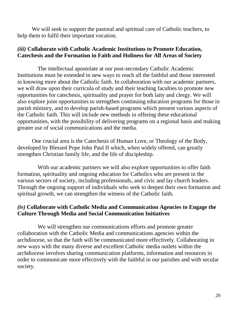We will seek to support the pastoral and spiritual care of Catholic teachers, to help them to fulfil their important vocation.

#### *(iii)* **Collaborate with Catholic Academic Institutions to Promote Education, Catechesis and the Formation in Faith and Holiness for All Areas of Society**

The intellectual apostolate at our post-secondary Catholic Academic Institutions must be extended in new ways to reach all the faithful and those interested in knowing more about the Catholic faith. In collaboration with our academic partners, we will draw upon their curricula of study and their teaching faculties to promote new opportunities for catechesis, spirituality and prayer for both laity and clergy. We will also explore joint opportunities to strengthen continuing education programs for those in parish ministry, and to develop parish-based programs which present various aspects of the Catholic faith. This will include new methods in offering these educational opportunities, with the possibility of delivering programs on a regional basis and making greater use of social communications and the media.

One crucial area is the Catechesis of Human Love, or Theology of the Body, developed by Blessed Pope John Paul II which, when widely offered, can greatly strengthen Christian family life, and the life of discipleship.

With our academic partners we will also explore opportunities to offer faith formation, spirituality and ongoing education for Catholics who are present in the various sectors of society, including professionals, and civic and lay church leaders. Through the ongoing support of individuals who seek to deepen their own formation and spiritual growth, we can strengthen the witness of the Catholic faith.

#### *(iv)* **Collaborate with Catholic Media and Communication Agencies to Engage the Culture Through Media and Social Communication Initiatives**

We will strengthen our communications efforts and promote greater collaboration with the Catholic Media and communications agencies within the archdiocese, so that the faith will be communicated more effectively. Collaborating in new ways with the many diverse and excellent Catholic media outlets within the archdiocese involves sharing communication platforms, information and resources in order to communicate more effectively with the faithful in our parishes and with secular society.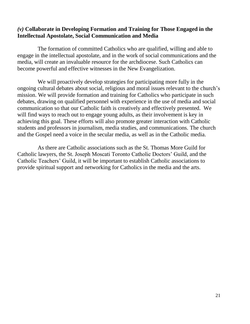#### *(v)* **Collaborate in Developing Formation and Training for Those Engaged in the Intellectual Apostolate, Social Communication and Media**

The formation of committed Catholics who are qualified, willing and able to engage in the intellectual apostolate, and in the work of social communications and the media, will create an invaluable resource for the archdiocese. Such Catholics can become powerful and effective witnesses in the New Evangelization.

We will proactively develop strategies for participating more fully in the ongoing cultural debates about social, religious and moral issues relevant to the church's mission. We will provide formation and training for Catholics who participate in such debates, drawing on qualified personnel with experience in the use of media and social communication so that our Catholic faith is creatively and effectively presented. We will find ways to reach out to engage young adults, as their involvement is key in achieving this goal. These efforts will also promote greater interaction with Catholic students and professors in journalism, media studies, and communications. The church and the Gospel need a voice in the secular media, as well as in the Catholic media.

As there are Catholic associations such as the St. Thomas More Guild for Catholic lawyers, the St. Joseph Moscati Toronto Catholic Doctors' Guild, and the Catholic Teachers' Guild, it will be important to establish Catholic associations to provide spiritual support and networking for Catholics in the media and the arts.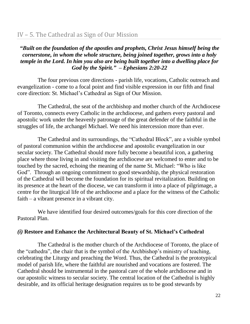## *"Built on the foundation of the apostles and prophets, Christ Jesus himself being the cornerstone, in whom the whole structure, being joined together, grows into a holy temple in the Lord. In him you also are being built together into a dwelling place for God by the Spirit." – Ephesians 2:20-22*

The four previous core directions - parish life, vocations, Catholic outreach and evangelization - come to a focal point and find visible expression in our fifth and final core direction: St. Michael's Cathedral as Sign of Our Mission.

The Cathedral, the seat of the archbishop and mother church of the Archdiocese of Toronto, connects every Catholic in the archdiocese, and gathers every pastoral and apostolic work under the heavenly patronage of the great defender of the faithful in the struggles of life, the archangel Michael. We need his intercession more than ever.

The Cathedral and its surroundings, the "Cathedral Block", are a visible symbol of pastoral communion within the archdiocese and apostolic evangelization in our secular society. The Cathedral should more fully become a beautiful icon, a gathering place where those living in and visiting the archdiocese are welcomed to enter and to be touched by the sacred, echoing the meaning of the name St. Michael: "Who is like God". Through an ongoing commitment to good stewardship, the physical restoration of the Cathedral will become the foundation for its spiritual revitalization. Building on its presence at the heart of the diocese, we can transform it into a place of pilgrimage, a centre for the liturgical life of the archdiocese and a place for the witness of the Catholic faith – a vibrant presence in a vibrant city.

We have identified four desired outcomes/goals for this core direction of the Pastoral Plan.

## *(i)* **Restore and Enhance the Architectural Beauty of St. Michael's Cathedral**

The Cathedral is the mother church of the Archdiocese of Toronto, the place of the "cathedra", the chair that is the symbol of the Archbishop's ministry of teaching, celebrating the Liturgy and preaching the Word. Thus, the Cathedral is the prototypical model of parish life, where the faithful are nourished and vocations are fostered. The Cathedral should be instrumental in the pastoral care of the whole archdiocese and in our apostolic witness to secular society. The central location of the Cathedral is highly desirable, and its official heritage designation requires us to be good stewards by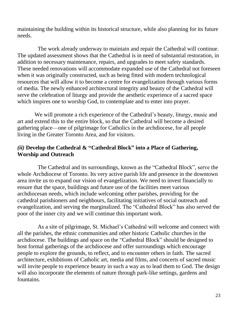maintaining the building within its historical structure, while also planning for its future needs.

The work already underway to maintain and repair the Cathedral will continue. The updated assessment shows that the Cathedral is in need of substantial restoration, in addition to necessary maintenance, repairs, and upgrades to meet safety standards. These needed renovations will accommodate expanded use of the Cathedral not foreseen when it was originally constructed, such as being fitted with modern technological resources that will allow it to become a centre for evangelization through various forms of media. The newly enhanced architectural integrity and beauty of the Cathedral will serve the celebration of liturgy and provide the aesthetic experience of a sacred space which inspires one to worship God, to contemplate and to enter into prayer.

 We will promote a rich experience of the Cathedral's beauty, liturgy, music and art and extend this to the entire block, so that the Cathedral will become a desired gathering place—one of pilgrimage for Catholics in the archdiocese, for all people living in the Greater Toronto Area, and for visitors.

#### *(ii)* **Develop the Cathedral & "Cathedral Block" into a Place of Gathering, Worship and Outreach**

The Cathedral and its surroundings, known as the "Cathedral Block", serve the whole Archdiocese of Toronto. Its very active parish life and presence in the downtown area invite us to expand our vision of evangelization. We need to invest financially to ensure that the space, buildings and future use of the facilities meet various archdiocesan needs, which include welcoming other parishes, providing for the cathedral parishioners and neighbours, facilitating initiatives of social outreach and evangelization, and serving the marginalized. The "Cathedral Block" has also served the poor of the inner city and we will continue this important work.

As a site of pilgrimage, St. Michael's Cathedral will welcome and connect with all the parishes, the ethnic communities and other historic Catholic churches in the archdiocese. The buildings and space on the "Cathedral Block" should be designed to host formal gatherings of the archdiocese and offer surroundings which encourage people to explore the grounds, to reflect, and to encounter others in faith. The sacred architecture, exhibitions of Catholic art, media and films, and concerts of sacred music will invite people to experience beauty in such a way as to lead them to God. The design will also incorporate the elements of nature through park-like settings, gardens and fountains.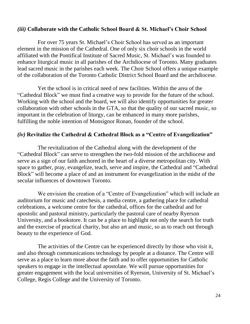#### *(iii)* **Collaborate with the Catholic School Board & St. Michael's Choir School**

For over 75 years St. Michael's Choir School has served as an important element in the mission of the Cathedral. One of only six choir schools in the world affiliated with the Pontifical Institute of Sacred Music, St. Michael's was founded to enhance liturgical music in all parishes of the Archdiocese of Toronto. Many graduates lead sacred music in the parishes each week. The Choir School offers a unique example of the collaboration of the Toronto Catholic District School Board and the archdiocese.

Yet the school is in critical need of new facilities. Within the area of the "Cathedral Block" we must find a creative way to provide for the future of the school. Working with the school and the board, we will also identify opportunities for greater collaboration with other schools in the GTA, so that the quality of our sacred music, so important in the celebration of liturgy, can be enhanced in many more parishes, fulfilling the noble intention of Monsignor Ronan, founder of the school.

#### *(iv)* **Revitalize the Cathedral & Cathedral Block as a "Centre of Evangelization"**

The revitalization of the Cathedral along with the development of the "Cathedral Block" can serve to strengthen the two-fold mission of the archdiocese and serve as a sign of our faith anchored in the heart of a diverse metropolitan city. With space to gather, pray, evangelize, teach, serve and inspire, the Cathedral and "Cathedral Block" will become a place of and an instrument for evangelization in the midst of the secular influences of downtown Toronto.

We envision the creation of a "Centre of Evangelization" which will include an auditorium for music and catechesis, a media centre, a gathering place for cathedral celebrations, a welcome centre for the cathedral, offices for the cathedral and for apostolic and pastoral ministry, particularly the pastoral care of nearby Ryerson University, and a bookstore. It can be a place to highlight not only the search for truth and the exercise of practical charity, but also art and music, so as to reach out through beauty to the experience of God.

The activities of the Centre can be experienced directly by those who visit it, and also through communications technology by people at a distance. The Centre will serve as a place to learn more about the faith and to offer opportunities for Catholic speakers to engage in the intellectual apostolate. We will pursue opportunities for greater engagement with the local universities of Ryerson, University of St. Michael's College, Regis College and the University of Toronto.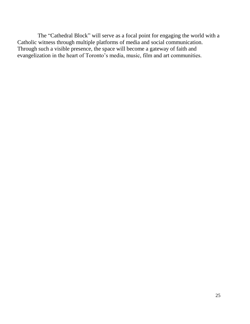The "Cathedral Block" will serve as a focal point for engaging the world with a Catholic witness through multiple platforms of media and social communication. Through such a visible presence, the space will become a gateway of faith and evangelization in the heart of Toronto's media, music, film and art communities.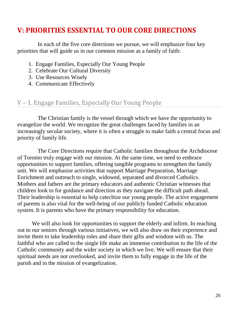## **V: PRIORITIES ESSENTIAL TO OUR CORE DIRECTIONS**

In each of the five core directions we pursue, we will emphasize four key priorities that will guide us in our common mission as a family of faith:

- 1. Engage Families, Especially Our Young People
- 2. Celebrate Our Cultural Diversity
- 3. Use Resources Wisely
- 4. Communicate Effectively

## V – 1. Engage Families, Especially Our Young People

The Christian family is the vessel through which we have the opportunity to evangelize the world. We recognize the great challenges faced by families in an increasingly secular society, where it is often a struggle to make faith a central focus and priority of family life.

The Core Directions require that Catholic families throughout the Archdiocese of Toronto truly engage with our mission. At the same time, we need to embrace opportunities to support families, offering tangible programs to strengthen the family unit. We will emphasize activities that support Marriage Preparation, Marriage Enrichment and outreach to single, widowed, separated and divorced Catholics. Mothers and fathers are the primary educators and authentic Christian witnesses that children look to for guidance and direction as they navigate the difficult path ahead. Their leadership is essential to help catechize our young people. The active engagement of parents is also vital for the well-being of our publicly funded Catholic education system. It is parents who have the primary responsibility for education.

We will also look for opportunities to support the elderly and infirm. In reaching out to our seniors through various initiatives, we will also draw on their experience and invite them to take leadership roles and share their gifts and wisdom with us. The faithful who are called to the single life make an immense contribution to the life of the Catholic community and the wider society in which we live. We will ensure that their spiritual needs are not overlooked, and invite them to fully engage in the life of the parish and in the mission of evangelization.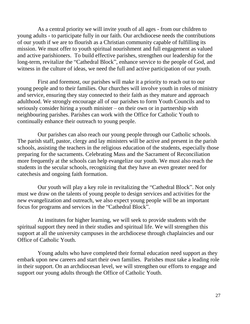As a central priority we will invite youth of all ages - from our children to young adults - to participate fully in our faith. Our archdiocese needs the contributions of our youth if we are to flourish as a Christian community capable of fulfilling its mission. We must offer to youth spiritual nourishment and full engagement as valued and active parishioners. To build effective parishes, strengthen our leadership for the long-term, revitalize the "Cathedral Block", enhance service to the people of God, and witness in the culture of ideas, we need the full and active participation of our youth.

First and foremost, our parishes will make it a priority to reach out to our young people and to their families. Our churches will involve youth in roles of ministry and service, ensuring they stay connected to their faith as they mature and approach adulthood. We strongly encourage all of our parishes to form Youth Councils and to seriously consider hiring a youth minister – on their own or in partnership with neighbouring parishes. Parishes can work with the Office for Catholic Youth to continually enhance their outreach to young people.

Our parishes can also reach our young people through our Catholic schools. The parish staff, pastor, clergy and lay ministers will be active and present in the parish schools, assisting the teachers in the religious education of the students, especially those preparing for the sacraments. Celebrating Mass and the Sacrament of Reconciliation more frequently at the schools can help evangelize our youth. We must also reach the students in the secular schools, recognizing that they have an even greater need for catechesis and ongoing faith formation.

 Our youth will play a key role in revitalizing the "Cathedral Block". Not only must we draw on the talents of young people to design services and activities for the new evangelization and outreach, we also expect young people will be an important focus for programs and services in the "Cathedral Block".

At institutes for higher learning, we will seek to provide students with the spiritual support they need in their studies and spiritual life. We will strengthen this support at all the university campuses in the archdiocese through chaplaincies and our Office of Catholic Youth.

 Young adults who have completed their formal education need support as they embark upon new careers and start their own families. Parishes must take a leading role in their support. On an archdiocesan level, we will strengthen our efforts to engage and support our young adults through the Office of Catholic Youth.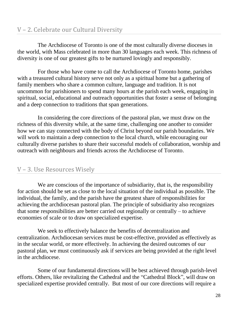## V – 2. Celebrate our Cultural Diversity

The Archdiocese of Toronto is one of the most culturally diverse dioceses in the world, with Mass celebrated in more than 30 languages each week. This richness of diversity is one of our greatest gifts to be nurtured lovingly and responsibly.

For those who have come to call the Archdiocese of Toronto home, parishes with a treasured cultural history serve not only as a spiritual home but a gathering of family members who share a common culture, language and tradition. It is not uncommon for parishioners to spend many hours at the parish each week, engaging in spiritual, social, educational and outreach opportunities that foster a sense of belonging and a deep connection to traditions that span generations.

In considering the core directions of the pastoral plan, we must draw on the richness of this diversity while, at the same time, challenging one another to consider how we can stay connected with the body of Christ beyond our parish boundaries. We will work to maintain a deep connection to the local church, while encouraging our culturally diverse parishes to share their successful models of collaboration, worship and outreach with neighbours and friends across the Archdiocese of Toronto.

## V – 3. Use Resources Wisely

We are conscious of the importance of subsidiarity, that is, the responsibility for action should be set as close to the local situation of the individual as possible. The individual, the family, and the parish have the greatest share of responsibilities for achieving the archdiocesan pastoral plan. The principle of subsidiarity also recognizes that some responsibilities are better carried out regionally or centrally – to achieve economies of scale or to draw on specialized expertise.

We seek to effectively balance the benefits of decentralization and centralization. Archdiocesan services must be cost-effective, provided as effectively as in the secular world, or more effectively. In achieving the desired outcomes of our pastoral plan, we must continuously ask if services are being provided at the right level in the archdiocese.

Some of our fundamental directions will be best achieved through parish-level efforts. Others, like revitalizing the Cathedral and the "Cathedral Block", will draw on specialized expertise provided centrally. But most of our core directions will require a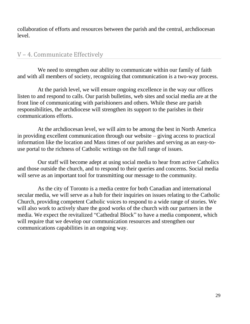collaboration of efforts and resources between the parish and the central, archdiocesan level.

## V – 4. Communicate Effectively

We need to strengthen our ability to communicate within our family of faith and with all members of society, recognizing that communication is a two-way process.

At the parish level, we will ensure ongoing excellence in the way our offices listen to and respond to calls. Our parish bulletins, web sites and social media are at the front line of communicating with parishioners and others. While these are parish responsibilities, the archdiocese will strengthen its support to the parishes in their communications efforts.

At the archdiocesan level, we will aim to be among the best in North America in providing excellent communication through our website – giving access to practical information like the location and Mass times of our parishes and serving as an easy-touse portal to the richness of Catholic writings on the full range of issues.

Our staff will become adept at using social media to hear from active Catholics and those outside the church, and to respond to their queries and concerns. Social media will serve as an important tool for transmitting our message to the community.

As the city of Toronto is a media centre for both Canadian and international secular media, we will serve as a hub for their inquiries on issues relating to the Catholic Church, providing competent Catholic voices to respond to a wide range of stories. We will also work to actively share the good works of the church with our partners in the media. We expect the revitalized "Cathedral Block" to have a media component, which will require that we develop our communication resources and strengthen our communications capabilities in an ongoing way.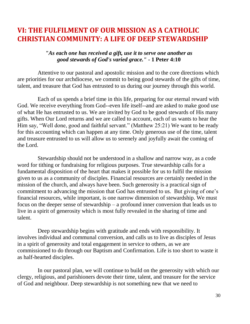# **VI: THE FULFILMENT OF OUR MISSION AS A CATHOLIC CHRISTIAN COMMUNITY: A LIFE OF DEEP STEWARDSHIP**

#### *"As each one has received a gift, use it to serve one another as good stewards of God's varied grace."* **- 1 Peter 4:10**

Attentive to our pastoral and apostolic mission and to the core directions which are priorities for our archdiocese, we commit to being good stewards of the gifts of time, talent, and treasure that God has entrusted to us during our journey through this world.

Each of us spends a brief time in this life, preparing for our eternal reward with God. We receive everything from God--even life itself--and are asked to make good use of what He has entrusted to us. We are invited by God to be good stewards of His many gifts. When Our Lord returns and we are called to account, each of us wants to hear the Him say, "Well done, good and faithful servant." (Matthew 25:21) We want to be ready for this accounting which can happen at any time. Only generous use of the time, talent and treasure entrusted to us will allow us to serenely and joyfully await the coming of the Lord.

Stewardship should not be understood in a shallow and narrow way, as a code word for tithing or fundraising for religious purposes. True stewardship calls for a fundamental disposition of the heart that makes it possible for us to fulfil the mission given to us as a community of disciples. Financial resources are certainly needed in the mission of the church, and always have been. Such generosity is a practical sign of commitment to advancing the mission that God has entrusted to us. But giving of one's financial resources, while important, is one narrow dimension of stewardship. We must focus on the deeper sense of stewardship – a profound inner conversion that leads us to live in a spirit of generosity which is most fully revealed in the sharing of time and talent.

Deep stewardship begins with gratitude and ends with responsibility. It involves individual and communal conversion, and calls us to live as disciples of Jesus in a spirit of generosity and total engagement in service to others, as we are commissioned to do through our Baptism and Confirmation. Life is too short to waste it as half-hearted disciples.

In our pastoral plan, we will continue to build on the generosity with which our clergy, religious, and parishioners devote their time, talent, and treasure for the service of God and neighbour. Deep stewardship is not something new that we need to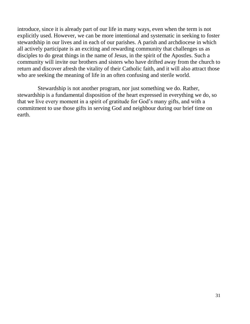introduce, since it is already part of our life in many ways, even when the term is not explicitly used. However, we can be more intentional and systematic in seeking to foster stewardship in our lives and in each of our parishes. A parish and archdiocese in which all actively participate is an exciting and rewarding community that challenges us as disciples to do great things in the name of Jesus, in the spirit of the Apostles. Such a community will invite our brothers and sisters who have drifted away from the church to return and discover afresh the vitality of their Catholic faith, and it will also attract those who are seeking the meaning of life in an often confusing and sterile world.

Stewardship is not another program, nor just something we do. Rather, stewardship is a fundamental disposition of the heart expressed in everything we do, so that we live every moment in a spirit of gratitude for God's many gifts, and with a commitment to use those gifts in serving God and neighbour during our brief time on earth.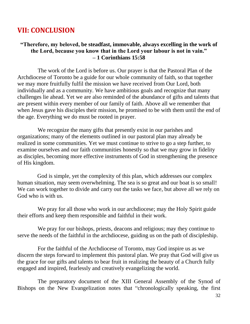## **VII: CONCLUSION**

#### **"Therefore, my beloved, be steadfast, immovable, always excelling in the work of the Lord, because you know that in the Lord your labour is not in vain." – 1 Corinthians 15:58**

The work of the Lord is before us. Our prayer is that the Pastoral Plan of the Archdiocese of Toronto be a guide for our whole community of faith, so that together we may more fruitfully fulfil the mission we have received from Our Lord, both individually and as a community. We have ambitious goals and recognize that many challenges lie ahead. Yet we are also reminded of the abundance of gifts and talents that are present within every member of our family of faith. Above all we remember that when Jesus gave his disciples their mission, he promised to be with them until the end of the age. Everything we do must be rooted in prayer.

We recognize the many gifts that presently exist in our parishes and organizations; many of the elements outlined in our pastoral plan may already be realized in some communities. Yet we must continue to strive to go a step further, to examine ourselves and our faith communities honestly so that we may grow in fidelity as disciples, becoming more effective instruments of God in strengthening the presence of His kingdom.

 God is simple, yet the complexity of this plan, which addresses our complex human situation, may seem overwhelming. The sea is so great and our boat is so small! We can work together to divide and carry out the tasks we face, but above all we rely on God who is with us.

We pray for all those who work in our archdiocese; may the Holy Spirit guide their efforts and keep them responsible and faithful in their work.

We pray for our bishops, priests, deacons and religious; may they continue to serve the needs of the faithful in the archdiocese, guiding us on the path of discipleship.

For the faithful of the Archdiocese of Toronto, may God inspire us as we discern the steps forward to implement this pastoral plan. We pray that God will give us the grace for our gifts and talents to bear fruit in realizing the beauty of a Church fully engaged and inspired, fearlessly and creatively evangelizing the world.

The preparatory document of the XIII General Assembly of the Synod of Bishops on the New Evangelization notes that "chronologically speaking, the first